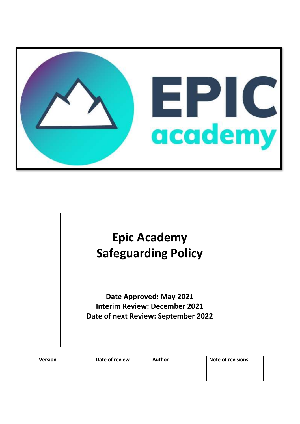

# **Epic Academy Safeguarding Policy**

**Date Approved: May 2021 Interim Review: December 2021 Date of next Review: September 2022**

| <b>Version</b> | Date of review | <b>Author</b> | <b>Note of revisions</b> |
|----------------|----------------|---------------|--------------------------|
|                |                |               |                          |
|                |                |               |                          |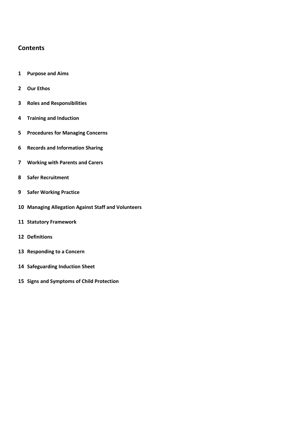### **Contents**

- **Purpose and Aims**
- **Our Ethos**
- **Roles and Responsibilities**
- **Training and Induction**
- **Procedures for Managing Concerns**
- **Records and Information Sharing**
- **Working with Parents and Carers**
- **Safer Recruitment**
- **Safer Working Practice**
- **Managing Allegation Against Staff and Volunteers**
- **Statutory Framework**
- **Definitions**
- **Responding to a Concern**
- **Safeguarding Induction Sheet**
- **Signs and Symptoms of Child Protection**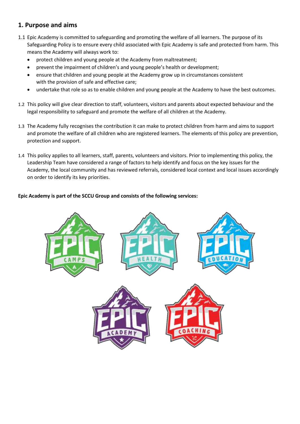### **1. Purpose and aims**

- 1.1 Epic Academy is committed to safeguarding and promoting the welfare of all learners. The purpose of its Safeguarding Policy is to ensure every child associated with Epic Academy is safe and protected from harm. This means the Academy will always work to:
	- protect children and young people at the Academy from maltreatment;
	- prevent the impairment of children's and young people's health or development;
	- ensure that children and young people at the Academy grow up in circumstances consistent with the provision of safe and effective care;
	- undertake that role so as to enable children and young people at the Academy to have the best outcomes.
- 1.2 This policy will give clear direction to staff, volunteers, visitors and parents about expected behaviour and the legal responsibility to safeguard and promote the welfare of all children at the Academy.
- 1.3 The Academy fully recognises the contribution it can make to protect children from harm and aims to support and promote the welfare of all children who are registered learners. The elements of this policy are prevention, protection and support.
- 1.4 This policy applies to all learners, staff, parents, volunteers and visitors. Prior to implementing this policy, the Leadership Team have considered a range of factors to help identify and focus on the key issues for the Academy, the local community and has reviewed referrals, considered local context and local issues accordingly on order to identify its key priorities.

#### **Epic Academy is part of the SCCU Group and consists of the following services:**

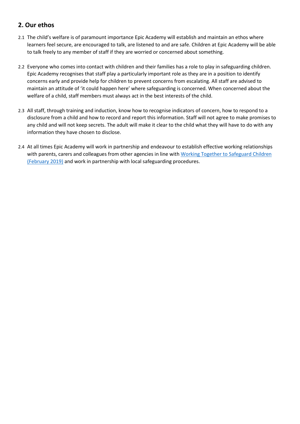# **2. Our ethos**

- 2.1 The child's welfare is of paramount importance Epic Academy will establish and maintain an ethos where learners feel secure, are encouraged to talk, are listened to and are safe. Children at Epic Academy will be able to talk freely to any member of staff if they are worried or concerned about something.
- 2.2 Everyone who comes into contact with children and their families has a role to play in safeguarding children. Epic Academy recognises that staff play a particularly important role as they are in a position to identify concerns early and provide help for children to prevent concerns from escalating. All staff are advised to maintain an attitude of 'it could happen here' where safeguarding is concerned. When concerned about the welfare of a child, staff members must always act in the best interests of the child.
- 2.3 All staff, through training and induction, know how to recognise indicators of concern, how to respond to a disclosure from a child and how to record and report this information. Staff will not agree to make promises to any child and will not keep secrets. The adult will make it clear to the child what they will have to do with any information they have chosen to disclose.
- 2.4 At all times Epic Academy will work in partnership and endeavour to establish effective working relationships with parents, carers and colleagues from other agencies in line with Working Together to Safeguard Children [\(February 2019\)](https://www.gov.uk/government/publications/working-together-to-safeguard-children--2) and work in partnership with local safeguarding procedures.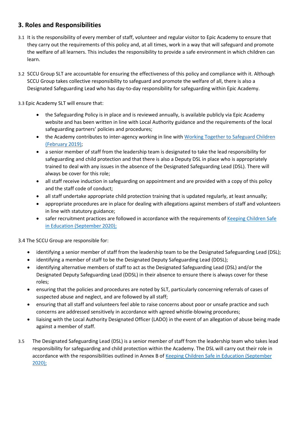### **3. Roles and Responsibilities**

- 3.1 It is the responsibility of every member of staff, volunteer and regular visitor to Epic Academy to ensure that they carry out the requirements of this policy and, at all times, work in a way that will safeguard and promote the welfare of all learners. This includes the responsibility to provide a safe environment in which children can learn.
- 3.2 SCCU Group SLT are accountable for ensuring the effectiveness of this policy and compliance with it. Although SCCU Group takes collective responsibility to safeguard and promote the welfare of all, there is also a Designated Safeguarding Lead who has day-to-day responsibility for safeguarding within Epic Academy.

3.3 Epic Academy SLT will ensure that:

- the Safeguarding Policy is in place and is reviewed annually, is available publicly via Epic Academy website and has been written in line with Local Authority guidance and the requirements of the local safeguarding partners' policies and procedures;
- the Academy contributes to inter-agency working in line with Working Together to Safeguard Children [\(February 2019\);](https://www.gov.uk/government/publications/working-together-to-safeguard-children--2)
- a senior member of staff from the leadership team is designated to take the lead responsibility for safeguarding and child protection and that there is also a Deputy DSL in place who is appropriately trained to deal with any issues in the absence of the Designated Safeguarding Lead (DSL). There will always be cover for this role;
- all staff receive induction in safeguarding on appointment and are provided with a copy of this policy and the staff code of conduct;
- all staff undertake appropriate child protection training that is updated regularly, at least annually;
- appropriate procedures are in place for dealing with allegations against members of staff and volunteers in line with statutory guidance;
- safer recruitment practices are followed in accordance with the requirements of Keeping Children Safe [in Education \(September](https://www.gov.uk/government/publications/keeping-children-safe-in-education--2) 2020);

3.4 The SCCU Group are responsible for:

- identifying a senior member of staff from the leadership team to be the Designated Safeguarding Lead (DSL);
- identifying a member of staff to be the Designated Deputy Safeguarding Lead (DDSL);
- identifying alternative members of staff to act as the Designated Safeguarding Lead (DSL) and/or the Designated Deputy Safeguarding Lead (DDSL) in their absence to ensure there is always cover for these roles;
- ensuring that the policies and procedures are noted by SLT, particularly concerning referrals of cases of suspected abuse and neglect, and are followed by all staff;
- ensuring that all staff and volunteers feel able to raise concerns about poor or unsafe practice and such concerns are addressed sensitively in accordance with agreed whistle-blowing procedures;
- liaising with the Local Authority Designated Officer (LADO) in the event of an allegation of abuse being made against a member of staff.
- 3.5 The Designated Safeguarding Lead (DSL) is a senior member of staff from the leadership team who takes lead responsibility for safeguarding and child protection within the Academy. The DSL will carry out their role in accordance with the responsibilities outlined in Annex B of [Keeping Children Safe in Education \(September](https://www.gov.uk/government/publications/keeping-children-safe-in-education--2) [2020\);](https://www.gov.uk/government/publications/keeping-children-safe-in-education--2)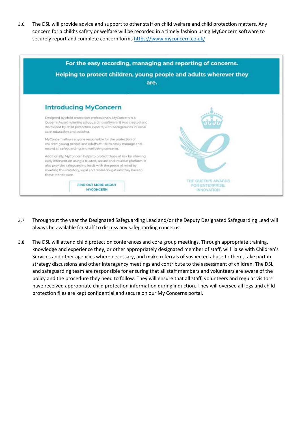3.6 The DSL will provide advice and support to other staff on child welfare and child protection matters. Any concern for a child's safety or welfare will be recorded in a timely fashion using MyConcern software to securely report and complete concern forms <https://www.myconcern.co.uk/>

| For the easy recording, managing and reporting of concerns.<br>Helping to protect children, young people and adults wherever they<br>are.                                                                                                                                                            |                                                            |
|------------------------------------------------------------------------------------------------------------------------------------------------------------------------------------------------------------------------------------------------------------------------------------------------------|------------------------------------------------------------|
| <b>Introducing MyConcern</b>                                                                                                                                                                                                                                                                         |                                                            |
| Designed by child protection professionals, MyConcern is a<br>Queen's Award-winning safeguarding software. It was created and<br>developed by child protection experts, with backgrounds in social<br>care, education and policing.                                                                  |                                                            |
| MyConcern allows anyone responsible for the protection of<br>children, young people and adults at risk to easily manage and<br>record all safeguarding and wellbeing concerns.                                                                                                                       |                                                            |
| Additionally, MyConcern helps to protect those at risk by allowing<br>early intervention using a trusted, secure and intuitive platform. It<br>also provides safeguarding leads with the peace of mind by<br>meeting the statutory, legal and moral obligations they have to<br>those in their care. |                                                            |
| <b>FIND OUT MORE ABOUT</b><br><b>MYCONCERN</b>                                                                                                                                                                                                                                                       | THE OUTEN'S AWARDS<br>FOR ENTERPRISE:<br><b>INNOVATION</b> |

- 3.7 Throughout the year the Designated Safeguarding Lead and/or the Deputy Designated Safeguarding Lead will always be available for staff to discuss any safeguarding concerns.
- 3.8 The DSL will attend child protection conferences and core group meetings. Through appropriate training, knowledge and experience they, or other appropriately designated member of staff, will liaise with Children's Services and other agencies where necessary, and make referrals of suspected abuse to them, take part in strategy discussions and other interagency meetings and contribute to the assessment of children. The DSL and safeguarding team are responsible for ensuring that all staff members and volunteers are aware of the policy and the procedure they need to follow. They will ensure that all staff, volunteers and regular visitors have received appropriate child protection information during induction. They will oversee all logs and child protection files are kept confidential and secure on our My Concerns portal.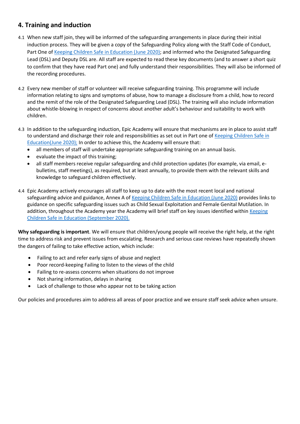# **4. Training and induction**

- 4.1 When new staff join, they will be informed of the safeguarding arrangements in place during their initial induction process. They will be given a copy of the Safeguarding Policy along with the Staff Code of Conduct, Part One o[f Keeping Children Safe in Education \(June 2020\);](https://www.gov.uk/government/publications/keeping-children-safe-in-education--2) and informed who the Designated Safeguarding Lead (DSL) and Deputy DSL are. All staff are expected to read these key documents (and to answer a short quiz to confirm that they have read Part one) and fully understand their responsibilities. They will also be informed of the recording procedures.
- 4.2 Every new member of staff or volunteer will receive safeguarding training. This programme will include information relating to signs and symptoms of abuse, how to manage a disclosure from a child, how to record and the remit of the role of the Designated Safeguarding Lead (DSL). The training will also include information about whistle-blowing in respect of concerns about another adult's behaviour and suitability to work with children.
- 4.3 In addition to the safeguarding induction, Epic Academy will ensure that mechanisms are in place to assist staff to understand and discharge their role and responsibilities as set out in Part one of [Keeping Children Safe in](https://www.gov.uk/government/publications/keeping-children-safe-in-education--2)  [Education\(June](https://www.gov.uk/government/publications/keeping-children-safe-in-education--2) 2020); In order to achieve this, the Academy will ensure that:
	- all members of staff will undertake appropriate safeguarding training on an annual basis.
	- evaluate the impact of this training;
	- all staff members receive regular safeguarding and child protection updates (for example, via email, ebulletins, staff meetings), as required, but at least annually, to provide them with the relevant skills and knowledge to safeguard children effectively.
- 4.4 Epic Academy actively encourages all staff to keep up to date with the most recent local and national safeguarding advice and guidance, Annex A o[f Keeping Children Safe in](https://www.gov.uk/government/publications/keeping-children-safe-in-education--2) Education (June 2020) provides links to guidance on specific safeguarding issues such as Child Sexual Exploitation and Female Genital Mutilation. In addition, throughout the Academy year the Academy will brief staff on key issues identified within Keeping [Children Safe in Education \(September](https://www.gov.uk/government/publications/keeping-children-safe-in-education--2) 2020).

**Why safeguarding is important**. We will ensure that children/young people will receive the right help, at the right time to address risk and prevent issues from escalating. Research and serious case reviews have repeatedly shown the dangers of failing to take effective action, which include:

- Failing to act and refer early signs of abuse and neglect
- Poor record-keeping Failing to listen to the views of the child
- Failing to re-assess concerns when situations do not improve
- Not sharing information, delays in sharing
- Lack of challenge to those who appear not to be taking action

Our policies and procedures aim to address all areas of poor practice and we ensure staff seek advice when unsure.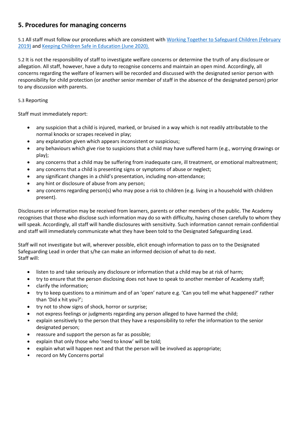### **5. Procedures for managing concerns**

5.1 All staff must follow our procedures which are consistent wit[h Working Together to Safeguard Children \(February](https://www.gov.uk/government/publications/working-together-to-safeguard-children--2)  [2019\)](https://www.gov.uk/government/publications/working-together-to-safeguard-children--2) an[d Keeping Children Safe in Education \(June 2020\).](https://www.gov.uk/government/publications/keeping-children-safe-in-education--2)

5.2 It is not the responsibility of staff to investigate welfare concerns or determine the truth of any disclosure or allegation. All staff, however, have a duty to recognise concerns and maintain an open mind. Accordingly, all concerns regarding the welfare of learners will be recorded and discussed with the designated senior person with responsibility for child protection (or another senior member of staff in the absence of the designated person) prior to any discussion with parents.

#### 5.3 Reporting

Staff must immediately report:

- any suspicion that a child is injured, marked, or bruised in a way which is not readily attributable to the normal knocks or scrapes received in play;
- any explanation given which appears inconsistent or suspicious;
- any behaviours which give rise to suspicions that a child may have suffered harm (e.g., worrying drawings or play);
- any concerns that a child may be suffering from inadequate care, ill treatment, or emotional maltreatment;
- any concerns that a child is presenting signs or symptoms of abuse or neglect;
- any significant changes in a child's presentation, including non-attendance;
- any hint or disclosure of abuse from any person;
- any concerns regarding person(s) who may pose a risk to children (e.g. living in a household with children present).

Disclosures or information may be received from learners, parents or other members of the public. The Academy recognises that those who disclose such information may do so with difficulty, having chosen carefully to whom they will speak. Accordingly, all staff will handle disclosures with sensitivity. Such information cannot remain confidential and staff will immediately communicate what they have been told to the Designated Safeguarding Lead.

Staff will not investigate but will, wherever possible, elicit enough information to pass on to the Designated Safeguarding Lead in order that s/he can make an informed decision of what to do next. Staff will:

- listen to and take seriously any disclosure or information that a child may be at risk of harm;
- try to ensure that the person disclosing does not have to speak to another member of Academy staff;
- clarify the information;
- try to keep questions to a minimum and of an 'open' nature e.g. 'Can you tell me what happened?' rather than 'Did x hit you?';
- try not to show signs of shock, horror or surprise;
- not express feelings or judgments regarding any person alleged to have harmed the child;
- explain sensitively to the person that they have a responsibility to refer the information to the senior designated person;
- reassure and support the person as far as possible;
- explain that only those who 'need to know' will be told;
- explain what will happen next and that the person will be involved as appropriate;
- record on My Concerns portal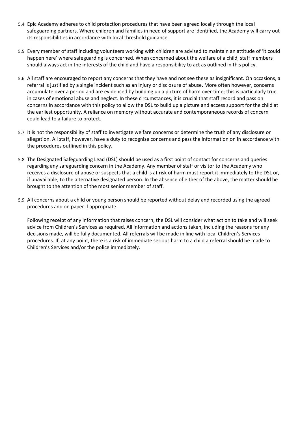- 5.4 Epic Academy adheres to child protection procedures that have been agreed locally through the local safeguarding partners. Where children and families in need of support are identified, the Academy will carry out its responsibilities in accordance with local threshold guidance.
- 5.5 Every member of staff including volunteers working with children are advised to maintain an attitude of 'it could happen here' where safeguarding is concerned. When concerned about the welfare of a child, staff members should always act in the interests of the child and have a responsibility to act as outlined in this policy.
- 5.6 All staff are encouraged to report any concerns that they have and not see these as insignificant. On occasions, a referral is justified by a single incident such as an injury or disclosure of abuse. More often however, concerns accumulate over a period and are evidenced by building up a picture of harm over time; this is particularly true in cases of emotional abuse and neglect. In these circumstances, it is crucial that staff record and pass on concerns in accordance with this policy to allow the DSL to build up a picture and access support for the child at the earliest opportunity. A reliance on memory without accurate and contemporaneous records of concern could lead to a failure to protect.
- 5.7 It is not the responsibility of staff to investigate welfare concerns or determine the truth of any disclosure or allegation. All staff, however, have a duty to recognise concerns and pass the information on in accordance with the procedures outlined in this policy.
- 5.8 The Designated Safeguarding Lead (DSL) should be used as a first point of contact for concerns and queries regarding any safeguarding concern in the Academy. Any member of staff or visitor to the Academy who receives a disclosure of abuse or suspects that a child is at risk of harm must report it immediately to the DSL or, if unavailable, to the alternative designated person. In the absence of either of the above, the matter should be brought to the attention of the most senior member of staff.
- 5.9 All concerns about a child or young person should be reported without delay and recorded using the agreed procedures and on paper if appropriate.

Following receipt of any information that raises concern, the DSL will consider what action to take and will seek advice from Children's Services as required. All information and actions taken, including the reasons for any decisions made, will be fully documented. All referrals will be made in line with local Children's Services procedures. If, at any point, there is a risk of immediate serious harm to a child a referral should be made to Children's Services and/or the police immediately.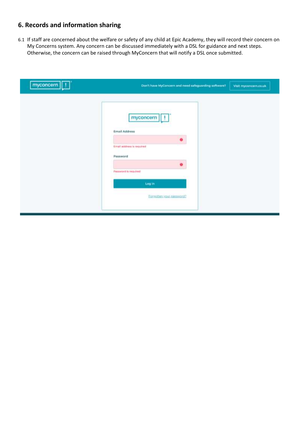# **6. Records and information sharing**

6.1 If staff are concerned about the welfare or safety of any child at Epic Academy, they will record their concern on My Concerns system. Any concern can be discussed immediately with a DSL for guidance and next steps. Otherwise, the concern can be raised through MyConcern that will notify a DSL once submitted.

| myconcern | Don't have MyConcern and need safeguarding software?<br>Visit myconcern.co.uk                                                                  |  |
|-----------|------------------------------------------------------------------------------------------------------------------------------------------------|--|
|           | myconcern<br><b>Email Address</b><br>ö<br>Email address is required<br>Password<br>Persovont la required<br>Log.in<br>Forgatten vour oassword? |  |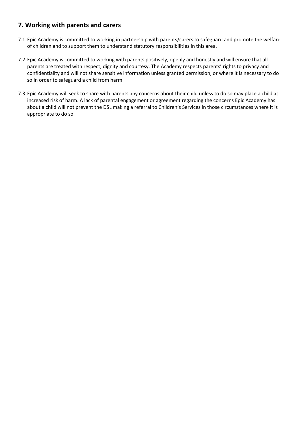### **7. Working with parents and carers**

- 7.1 Epic Academy is committed to working in partnership with parents/carers to safeguard and promote the welfare of children and to support them to understand statutory responsibilities in this area.
- 7.2 Epic Academy is committed to working with parents positively, openly and honestly and will ensure that all parents are treated with respect, dignity and courtesy. The Academy respects parents' rights to privacy and confidentiality and will not share sensitive information unless granted permission, or where it is necessary to do so in order to safeguard a child from harm.
- 7.3 Epic Academy will seek to share with parents any concerns about their child unless to do so may place a child at increased risk of harm. A lack of parental engagement or agreement regarding the concerns Epic Academy has about a child will not prevent the DSL making a referral to Children's Services in those circumstances where it is appropriate to do so.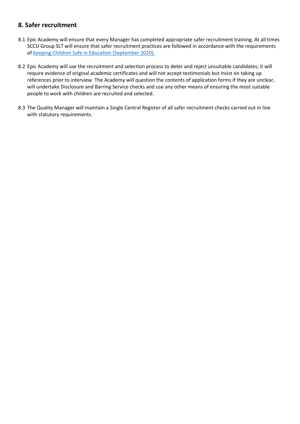### **8. Safer recruitment**

- 8.1 Epic Academy will ensure that every Manager has completed appropriate safer recruitment training. At all times SCCU Group SLT will ensure that safer recruitment practices are followed in accordance with the requirements o[f Keeping Children Safe in Education \(September](https://www.gov.uk/government/publications/keeping-children-safe-in-education--2) 2020).
- 8.2 Epic Academy will use the recruitment and selection process to deter and reject unsuitable candidates; it will require evidence of original academic certificates and will not accept testimonials but insist on taking up references prior to interview. The Academy will question the contents of application forms if they are unclear, will undertake Disclosure and Barring Service checks and use any other means of ensuring the most suitable people to work with children are recruited and selected.
- 8.3 The Quality Manager will maintain a Single Central Register of all safer recruitment checks carried out in line with statutory requirements.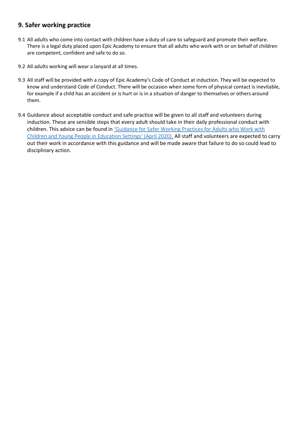### **9. Safer working practice**

- 9.1 All adults who come into contact with children have a duty of care to safeguard and promote their welfare. There is a legal duty placed upon Epic Academy to ensure that all adults who work with or on behalf of children are competent, confident and safe to do so.
- 9.2 All adults working will wear a lanyard at all times.
- 9.3 All staff will be provided with a copy of Epic Academy's Code of Conduct at induction. They will be expected to know and understand Code of Conduct. There will be occasion when some form of physical contact is inevitable, for example if a child has an accident or is hurt or is in a situation of danger to themselves or others around them.
- 9.4 Guidance about acceptable conduct and safe practice will be given to all staff and volunteers during induction. These are sensible steps that every adult should take in their daily professional conduct with children. This advice can be found in *'Guidance for Safer Working Practices for Adults who Work with* [Children and Young People in Education Settings' \(April 2020\).](https://www.saferrecruitmentconsortium.org/GSWP%20COVID%20addendum%20April%202020%20final-2.pdf) All staff and volunteers are expected to carry out their work in accordance with this guidance and will be made aware that failure to do so could lead to disciplinary action.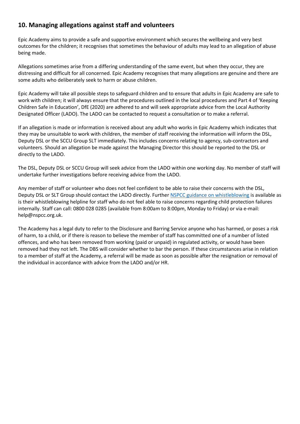### **10. Managing allegations against staff and volunteers**

Epic Academy aims to provide a safe and supportive environment which secures the wellbeing and very best outcomes for the children; it recognises that sometimes the behaviour of adults may lead to an allegation of abuse being made.

Allegations sometimes arise from a differing understanding of the same event, but when they occur, they are distressing and difficult for all concerned. Epic Academy recognises that many allegations are genuine and there are some adults who deliberately seek to harm or abuse children.

Epic Academy will take all possible steps to safeguard children and to ensure that adults in Epic Academy are safe to work with children; it will always ensure that the procedures outlined in the local procedures and Part 4 of 'Keeping Children Safe in Education', DfE (2020) are adhered to and will seek appropriate advice from the Local Authority Designated Officer (LADO). The LADO can be contacted to request a consultation or to make a referral.

If an allegation is made or information is received about any adult who works in Epic Academy which indicates that they may be unsuitable to work with children, the member of staff receiving the information will inform the DSL, Deputy DSL or the SCCU Group SLT immediately. This includes concerns relating to agency, sub-contractors and volunteers. Should an allegation be made against the Managing Director this should be reported to the DSL or directly to the LADO.

The DSL, Deputy DSL or SCCU Group will seek advice from the LADO within one working day. No member of staff will undertake further investigations before receiving advice from the LADO.

Any member of staff or volunteer who does not feel confident to be able to raise their concerns with the DSL, Deputy DSL or SLT Group should contact the LADO directly. Further [NSPCC guidance on whistleblowing](https://www.nspcc.org.uk/keeping-children-safe/reporting-abuse/dedicated-helplines/whistleblowing-advice-line/) is available as is their whistleblowing helpline for staff who do not feel able to raise concerns regarding child protection failures internally. Staff can call: 0800 028 0285 (available from 8:00am to 8:00pm, Monday to Friday) or via e-mail: help@nspcc.org.uk.

The Academy has a legal duty to refer to the Disclosure and Barring Service anyone who has harmed, or poses a risk of harm, to a child, or if there is reason to believe the member of staff has committed one of a number of listed offences, and who has been removed from working (paid or unpaid) in regulated activity, or would have been removed had they not left. The DBS will consider whether to bar the person. If these circumstances arise in relation to a member of staff at the Academy, a referral will be made as soon as possible after the resignation or removal of the individual in accordance with advice from the LADO and/or HR.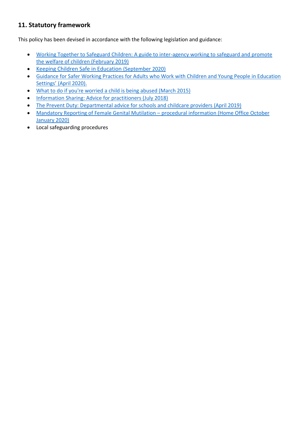# **11. Statutory framework**

This policy has been devised in accordance with the following legislation and guidance:

- [Working Together to Safeguard Children: A guide to inter-agency working to safeguard and promote](https://www.gov.uk/government/publications/working-together-to-safeguard-children--2)  [the welfare of children \(February 2019\)](https://www.gov.uk/government/publications/working-together-to-safeguard-children--2)
- [Keeping Children Safe in Education](https://www.gov.uk/government/publications/keeping-children-safe-in-education--2) (September [2020\)](https://www.gov.uk/government/publications/keeping-children-safe-in-education--2)
- [Guidance for Safer Working Practices for Adults who Work with Children and Young People in Education](https://www.saferrecruitmentconsortium.org/GSWP%20COVID%20addendum%20April%202020%20final-2.pdf)  [Settings' \(April 2020\).](https://www.saferrecruitmentconsortium.org/GSWP%20COVID%20addendum%20April%202020%20final-2.pdf)
- [What to do if you're worried a child is being abused \(March 2015\)](https://assets.publishing.service.gov.uk/government/uploads/system/uploads/attachment_data/file/419604/What_to_do_if_you_re_worried_a_child_is_being_abused.pdf)
- [Information Sharing: Advice for practitioners \(July 2018\)](https://www.gov.uk/government/publications/safeguarding-practitioners-information-sharing-advice)
- [The Prevent Duty: Departmental advice for schools and childcare providers \(April 2019\)](https://www.gov.uk/government/publications/prevent-duty-guidance)
- [Mandatory Reporting of Female Genital Mutilation](https://www.gov.uk/government/publications/mandatory-reporting-of-female-genital-mutilation-procedural-information)  procedural information (Home Office October [January 2020\)](https://www.gov.uk/government/publications/mandatory-reporting-of-female-genital-mutilation-procedural-information)
- Local safeguarding procedures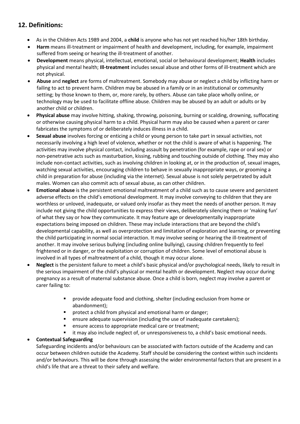### **12. Definitions:**

- As in the Children Acts 1989 and 2004, a **child** is anyone who has not yet reached his/her 18th birthday.
- **Harm** means ill-treatment or impairment of health and development, including, for example, impairment suffered from seeing or hearing the ill-treatment of another.
- **Development** means physical, intellectual, emotional, social or behavioural development; **Health** includes physical and mental health; **Ill-treatment** includes sexual abuse and other forms of ill-treatment which are not physical.
- **Abuse** and **neglect** are forms of maltreatment. Somebody may abuse or neglect a child by inflicting harm or failing to act to prevent harm. Children may be abused in a family or in an institutional or community setting; by those known to them, or, more rarely, by others. Abuse can take place wholly online, or technology may be used to facilitate offline abuse. Children may be abused by an adult or adults or by another child or children.
- **Physical abuse** may involve hitting, shaking, throwing, poisoning, burning or scalding, drowning, suffocating or otherwise causing physical harm to a child. Physical harm may also be caused when a parent or carer fabricates the symptoms of or deliberately induces illness in a child.
- **Sexual abuse** involves forcing or enticing a child or young person to take part in sexual activities, not necessarily involving a high level of violence, whether or not the child is aware of what is happening. The activities may involve physical contact, including assault by penetration (for example, rape or oral sex) or non-penetrative acts such as masturbation, kissing, rubbing and touching outside of clothing. They may also include non-contact activities, such as involving children in looking at, or in the production of, sexual images, watching sexual activities, encouraging children to behave in sexually inappropriate ways, or grooming a child in preparation for abuse (including via the internet). Sexual abuse is not solely perpetrated by adult males. Women can also commit acts of sexual abuse, as can other children.
- **Emotional abuse** is the persistent emotional maltreatment of a child such as to cause severe and persistent adverse effects on the child's emotional development. It may involve conveying to children that they are worthless or unloved, inadequate, or valued only insofar as they meet the needs of another person. It may include not giving the child opportunities to express their views, deliberately silencing them or 'making fun' of what they say or how they communicate. It may feature age or developmentally inappropriate expectations being imposed on children. These may include interactions that are beyond the child's developmental capability, as well as overprotection and limitation of exploration and learning, or preventing the child participating in normal social interaction. It may involve seeing or hearing the ill-treatment of another. It may involve serious bullying (including online bullying), causing children frequently to feel frightened or in danger, or the exploitation or corruption of children. Some level of emotional abuse is involved in all types of maltreatment of a child, though it may occur alone.
- **Neglect** is the persistent failure to meet a child's basic physical and/or psychological needs, likely to result in the serious impairment of the child's physical or mental health or development. Neglect may occur during pregnancy as a result of maternal substance abuse. Once a child is born, neglect may involve a parent or carer failing to:
	- provide adequate food and clothing, shelter (including exclusion from home or abandonment);
	- protect a child from physical and emotional harm or danger;
	- **E** ensure adequate supervision (including the use of inadequate caretakers);
	- ensure access to appropriate medical care or treatment;
	- it may also include neglect of, or unresponsiveness to, a child's basic emotional needs.

### • **Contextual Safeguarding**

Safeguarding incidents and/or behaviours can be associated with factors outside of the Academy and can occur between children outside the Academy. Staff should be considering the context within such incidents and/or behaviours. This will be done through assessing the wider environmental factors that are present in a child's life that are a threat to their safety and welfare.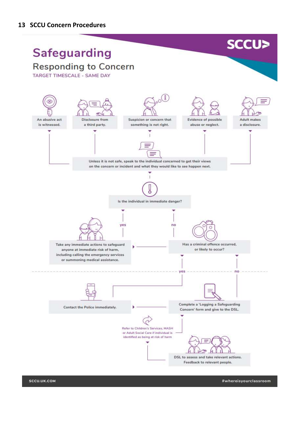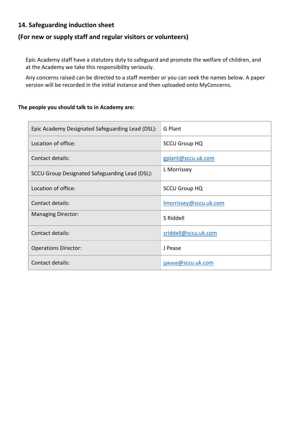### **14. Safeguarding induction sheet**

# **(For new or supply staff and regular visitors or volunteers)**

Epic Academy staff have a statutory duty to safeguard and promote the welfare of children, and at the Academy we take this responsibility seriously.

Any concerns raised can be directed to a staff member or you can seek the names below. A paper version will be recorded in the initial instance and then uploaded onto MyConcerns.

#### **The people you should talk to in Academy are:**

| Epic Academy Designated Safeguarding Lead (DSL): | G Plant                |  |
|--------------------------------------------------|------------------------|--|
| Location of office:                              | <b>SCCU Group HQ</b>   |  |
| Contact details:                                 | gplant@sccu.uk.com     |  |
| SCCU Group Designated Safeguarding Lead (DSL):   | L Morrissey            |  |
| Location of office:                              | <b>SCCU Group HQ</b>   |  |
| Contact details:                                 | Imorrissey@sccu.uk.com |  |
| <b>Managing Director:</b>                        | S Riddell              |  |
| Contact details:                                 | sriddell@sccu.uk.com   |  |
| <b>Operations Director:</b>                      | J Pease                |  |
| Contact details:                                 | jpease@sccu.uk.com     |  |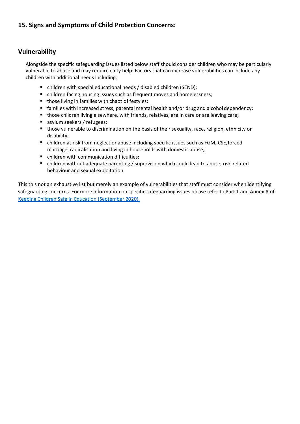### **Vulnerability**

Alongside the specific safeguarding issues listed below staff should consider children who may be particularly vulnerable to abuse and may require early help: Factors that can increase vulnerabilities can include any children with additional needs including;

- children with special educational needs / disabled children (SEND);
- children facing housing issues such as frequent moves and homelessness;
- those living in families with chaotic lifestyles;
- families with increased stress, parental mental health and/or drug and alcohol dependency;
- those children living elsewhere, with friends, relatives, are in care or are leaving care;
- asylum seekers / refugees;
- those vulnerable to discrimination on the basis of their sexuality, race, religion, ethnicity or disability;
- children at risk from neglect or abuse including specific issues such as FGM, CSE, forced marriage, radicalisation and living in households with domestic abuse;
- children with communication difficulties;
- children without adequate parenting / supervision which could lead to abuse, risk-related behaviour and sexual exploitation.

This this not an exhaustive list but merely an example of vulnerabilities that staff must consider when identifying safeguarding concerns. For more information on specific safeguarding issues please refer to Part 1 and Annex A of [Keeping Children Safe in Education \(September 2020\).](https://www.gov.uk/government/publications/keeping-children-safe-in-education--2)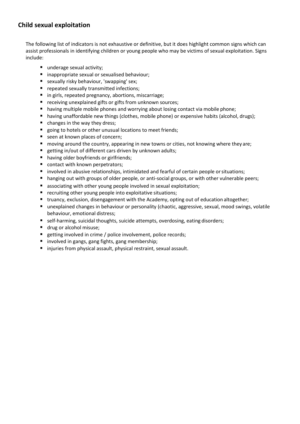### **Child sexual exploitation**

The following list of indicators is not exhaustive or definitive, but it does highlight common signs which can assist professionals in identifying children or young people who may be victims of sexual exploitation. Signs include:

- underage sexual activity;
- inappropriate sexual or sexualised behaviour;
- sexually risky behaviour, 'swapping' sex;
- repeated sexually transmitted infections;
- in girls, repeated pregnancy, abortions, miscarriage;
- receiving unexplained gifts or gifts from unknown sources;
- having multiple mobile phones and worrying about losing contact via mobile phone;
- having unaffordable new things (clothes, mobile phone) or expensive habits (alcohol, drugs);
- changes in the way they dress;
- going to hotels or other unusual locations to meet friends;
- seen at known places of concern;
- moving around the country, appearing in new towns or cities, not knowing where they are;
- getting in/out of different cars driven by unknown adults;
- having older boyfriends or girlfriends;
- contact with known perpetrators;
- involved in abusive relationships, intimidated and fearful of certain people or situations;
- hanging out with groups of older people, or anti-social groups, or with other vulnerable peers;
- associating with other young people involved in sexual exploitation;
- recruiting other young people into exploitative situations;
- truancy, exclusion, disengagement with the Academy, opting out of education altogether;
- unexplained changes in behaviour or personality (chaotic, aggressive, sexual, mood swings, volatile behaviour, emotional distress;
- self-harming, suicidal thoughts, suicide attempts, overdosing, eating disorders;
- drug or alcohol misuse;
- getting involved in crime / police involvement, police records;
- involved in gangs, gang fights, gang membership;
- injuries from physical assault, physical restraint, sexual assault.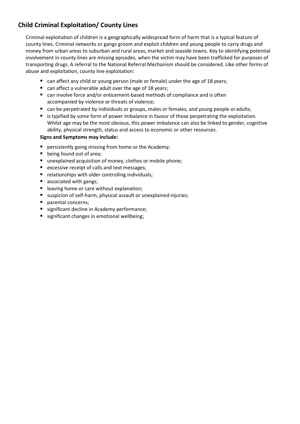# **Child Criminal Exploitation/ County Lines**

Criminal exploitation of children is a geographically widespread form of harm that is a typical feature of county lines. Criminal networks or gangs groom and exploit children and young people to carry drugs and money from urban areas to suburban and rural areas, market and seaside towns. Key to identifying potential involvement in county lines are missing episodes, when the victim may have been trafficked for purposes of transporting drugs. A referral to the National Referral Mechanism should be considered. Like other forms of abuse and exploitation, county line exploitation:

- can affect any child or young person (male or female) under the age of 18 years;
- can affect a vulnerable adult over the age of 18 years;
- can involve force and/or enticement-based methods of compliance and is often accompanied by violence or threats of violence;
- can be perpetrated by individuals or groups, males or females, and young people or adults;
- is typified by some form of power imbalance in favour of those perpetrating the exploitation. Whilst age may be the most obvious, this power imbalance can also be linked to gender, cognitive ability, physical strength, status and access to economic or other resources.

#### **Signs and Symptoms may include:**

- **•** persistently going missing from home or the Academy;
- being found out of area;
- unexplained acquisition of money, clothes or mobile phone;
- excessive receipt of calls and text messages;
- relationships with older controlling individuals;
- associated with gangs;
- leaving home or care without explanation;
- suspicion of self-harm, physical assault or unexplained injuries;
- parental concerns;
- significant decline in Academy performance;
- significant changes in emotional wellbeing;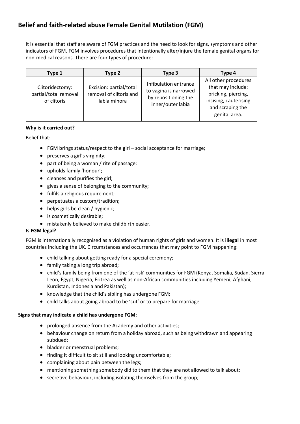# **Belief and faith-related abuse Female Genital Mutilation (FGM)**

It is essential that staff are aware of FGM practices and the need to look for signs, symptoms and other indicators of FGM. FGM involves procedures that intentionally alter/injure the female genital organs for non-medical reasons. There are four types of procedure:

| Type 1                                                  | Type 2                                                             | Type 3                                                                                      | Type 4                                                                                                                         |
|---------------------------------------------------------|--------------------------------------------------------------------|---------------------------------------------------------------------------------------------|--------------------------------------------------------------------------------------------------------------------------------|
| Clitoridectomy:<br>partial/total removal<br>of clitoris | Excision: partial/total<br>removal of clitoris and<br>labia minora | Infibulation entrance<br>to vagina is narrowed<br>by repositioning the<br>inner/outer labia | All other procedures<br>that may include:<br>pricking, piercing,<br>incising, cauterising<br>and scraping the<br>genital area. |

#### **Why is it carried out?**

Belief that:

- FGM brings status/respect to the girl social acceptance for marriage;
- preserves a girl's virginity;
- part of being a woman / rite of passage;
- upholds family 'honour';
- cleanses and purifies the girl;
- gives a sense of belonging to the community;
- fulfils a religious requirement;
- perpetuates a custom/tradition;
- helps girls be clean / hygienic;
- is cosmetically desirable;
- mistakenly believed to make childbirth easier.

#### **Is FGM legal?**

FGM is internationally recognised as a violation of human rights of girls and women. It is **illegal** in most countries including the UK. Circumstances and occurrences that may point to FGM happening:

- child talking about getting ready for a special ceremony;
- family taking a long trip abroad;
- child's family being from one of the 'at risk' communities for FGM (Kenya, Somalia, Sudan, Sierra Leon, Egypt, Nigeria, Eritrea as well as non-African communities including Yemeni, Afghani, Kurdistan, Indonesia and Pakistan);
- knowledge that the child's sibling has undergone FGM;
- child talks about going abroad to be 'cut' or to prepare for marriage.

### **Signs that may indicate a child has undergone FGM**:

- prolonged absence from the Academy and other activities;
- behaviour change on return from a holiday abroad, such as being withdrawn and appearing subdued;
- bladder or menstrual problems:
- finding it difficult to sit still and looking uncomfortable;
- complaining about pain between the legs;
- mentioning something somebody did to them that they are not allowed to talk about;
- secretive behaviour, including isolating themselves from the group;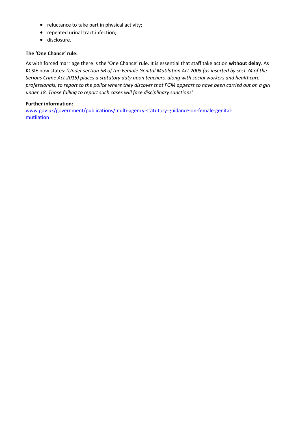- reluctance to take part in physical activity;
- repeated urinal tract infection;
- disclosure.

#### **The 'One Chance' rule:**

As with forced marriage there is the 'One Chance' rule. It is essential that staff take action **without delay**. As KCSIE now states: *'Under section 5B of the Female Genital Mutilation Act 2003 (as inserted by sect 74 of the Serious Crime Act 2015) places a statutory duty upon teachers, along with social workers and healthcare professionals, to report to the police where they discover that FGM appears to have been carried out on a girl under 18. Those falling to report such cases will face disciplinary sanctions'*

#### **Further information:**

[www.gov.uk/government/publications/multi-agency-statutory-guidance-on-female-genital](http://www.gov.uk/government/publications/multi-agency-statutory-guidance-on-female-genital-mutilation)**[mutilation](http://www.gov.uk/government/publications/multi-agency-statutory-guidance-on-female-genital-mutilation)**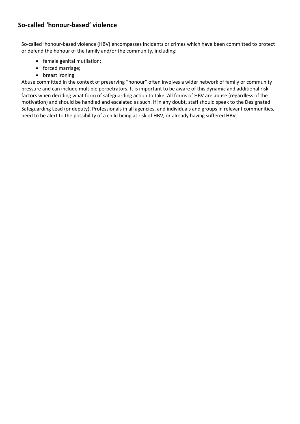### **So-called 'honour-based' violence**

So-called 'honour-based violence (HBV) encompasses incidents or crimes which have been committed to protect or defend the honour of the family and/or the community, including:

- female genital mutilation;
- forced marriage;
- breast ironing.

Abuse committed in the context of preserving "honour" often involves a wider network of family or community pressure and can include multiple perpetrators. It is important to be aware of this dynamic and additional risk factors when deciding what form of safeguarding action to take. All forms of HBV are abuse (regardless of the motivation) and should be handled and escalated as such. If in any doubt, staff should speak to the Designated Safeguarding Lead (or deputy). Professionals in all agencies, and individuals and groups in relevant communities, need to be alert to the possibility of a child being at risk of HBV, or already having suffered HBV.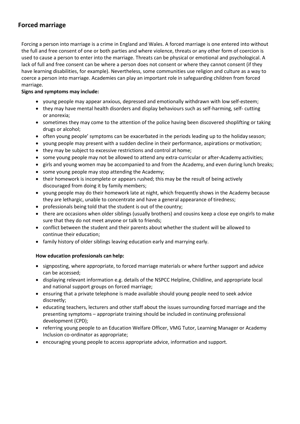### **Forced marriage**

Forcing a person into marriage is a crime in England and Wales. A forced marriage is one entered into without the full and free consent of one or both parties and where violence, threats or any other form of coercion is used to cause a person to enter into the marriage. Threats can be physical or emotional and psychological. A lack of full and free consent can be where a person does not consent or where they cannot consent (if they have learning disabilities, for example). Nevertheless, some communities use religion and culture as a way to coerce a person into marriage. Academies can play an important role in safeguarding children from forced marriage.

#### **Signs and symptoms may include:**

- young people may appear anxious, depressed and emotionally withdrawn with low self-esteem;
- they may have mental health disorders and display behaviours such as self-harming, self- cutting or anorexia;
- sometimes they may come to the attention of the police having been discovered shoplifting or taking drugs or alcohol;
- often young people' symptoms can be exacerbated in the periods leading up to the holiday season;
- young people may present with a sudden decline in their performance, aspirations ormotivation;
- they may be subject to excessive restrictions and control at home;
- some young people may not be allowed to attend any extra-curricular or after-Academy activities;
- girls and young women may be accompanied to and from the Academy, and even during lunch breaks;
- some young people may stop attending the Academy;
- their homework is incomplete or appears rushed; this may be the result of being actively discouraged from doing it by family members;
- young people may do their homework late at night, which frequently shows in the Academy because they are lethargic, unable to concentrate and have a general appearance of tiredness;
- professionals being told that the student is out of the country;
- there are occasions when older siblings (usually brothers) and cousins keep a close eye ongirls to make sure that they do not meet anyone or talk to friends;
- conflict between the student and their parents about whether the student will be allowed to continue their education;
- family history of older siblings leaving education early and marrying early.

#### **How education professionals can help:**

- signposting, where appropriate, to forced marriage materials or where further support and advice can be accessed;
- displaying relevant information e.g. details of the NSPCC Helpline, Childline, and appropriate local and national support groups on forced marriage;
- ensuring that a private telephone is made available should young people need to seek advice discreetly;
- educating teachers, lecturers and other staff about the issues surrounding forced marriage and the presenting symptoms – appropriate training should be included in continuing professional development (CPD);
- referring young people to an Education Welfare Officer, VMG Tutor, Learning Manager or Academy Inclusion co-ordinator as appropriate;
- encouraging young people to access appropriate advice, information and support.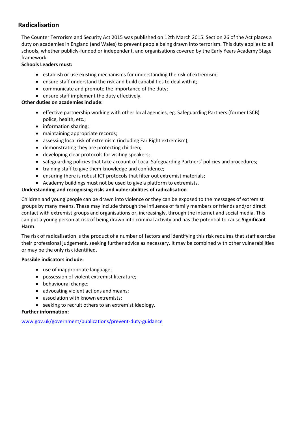# **Radicalisation**

The Counter Terrorism and Security Act 2015 was published on 12th March 2015. Section 26 of the Act places a duty on academies in England (and Wales) to prevent people being drawn into terrorism. This duty applies to all schools, whether publicly-funded or independent, and organisations covered by the Early Years Academy Stage framework.

#### **Schools Leaders must:**

- establish or use existing mechanisms for understanding the risk of extremism;
- ensure staff understand the risk and build capabilities to deal with it;
- communicate and promote the importance of the duty;
- ensure staff implement the duty effectively.

#### **Other duties on academies include:**

- effective partnership working with other local agencies, eg. Safeguarding Partners (former LSCB) police, health, etc.;
- information sharing;
- maintaining appropriate records;
- assessing local risk of extremism (including Far Right extremism);
- demonstrating they are protecting children;
- developing clear protocols for visiting speakers;
- safeguarding policies that take account of Local Safeguarding Partners' policies and procedures;
- training staff to give them knowledge and confidence;
- ensuring there is robust ICT protocols that filter out extremist materials;
- Academy buildings must not be used to give a platform to extremists.

#### **Understanding and recognising risks and vulnerabilities of radicalisation**

Children and young people can be drawn into violence or they can be exposed to the messages of extremist groups by many means. These may include through the influence of family members or friends and/or direct contact with extremist groups and organisations or, increasingly, through the internet and social media. This can put a young person at risk of being drawn into criminal activity and has the potential to cause **[Significant](http://trixresources.proceduresonline.com/nat_key/keywords/significant_harm.html)  [Harm](http://trixresources.proceduresonline.com/nat_key/keywords/significant_harm.html)**.

The risk of radicalisation is the product of a number of factors and identifying this risk requires that staff exercise their professional judgement, seeking further advice as necessary. It may be combined with other vulnerabilities or may be the only risk identified.

#### **Possible indicators include:**

- use of inappropriate language;
- possession of violent extremist literature;
- behavioural change;
- advocating violent actions and means;
- association with known extremists;
- seeking to recruit others to an extremist ideology.

#### **Further information:**

[www.gov.uk/government/publications/prevent-duty-guidance](http://www.gov.uk/government/publications/prevent-duty-guidance)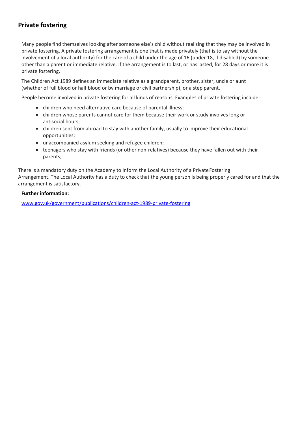### **Private fostering**

Many people find themselves looking after someone else's child without realising that they may be involved in private fostering. A private fostering arrangement is one that is made privately (that is to say without the involvement of a local authority) for the care of a child under the age of 16 (under 18, if disabled) by someone other than a parent or immediate relative. If the arrangement is to last, or has lasted, for 28 days or more it is private fostering.

The Children Act 1989 defines an immediate relative as a grandparent, brother, sister, uncle or aunt (whether of full blood or half blood or by marriage or civil partnership), or a step parent.

People become involved in private fostering for all kinds of reasons. Examples of private fostering include:

- children who need alternative care because of parental illness;
- children whose parents cannot care for them because their work or study involves long or antisocial hours;
- children sent from abroad to stay with another family, usually to improve their educational opportunities;
- unaccompanied asylum seeking and refugee children;
- teenagers who stay with friends (or other non-relatives) because they have fallen out with their parents;

There is a mandatory duty on the Academy to inform the Local Authority of a Private Fostering Arrangement. The Local Authority has a duty to check that the young person is being properly cared for and that the arrangement is satisfactory.

#### **Further information:**

[www.gov.uk/government/publications/children-act-1989-private-fostering](http://www.gov.uk/government/publications/children-act-1989-private-fostering)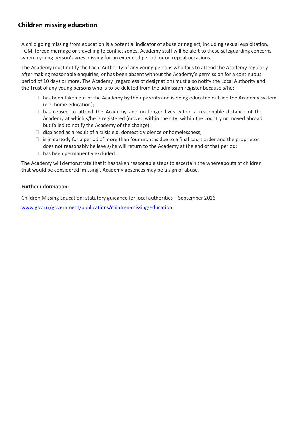# **Children missing education**

A child going missing from education is a potential indicator of abuse or neglect, including sexual exploitation, FGM, forced marriage or travelling to conflict zones. Academy staff will be alert to these safeguarding concerns when a young person's goes missing for an extended period, or on repeat occasions.

The Academy must notify the Local Authority of any young persons who fails to attend the Academy regularly after making reasonable enquiries, or has been absent without the Academy's permission for a continuous period of 10 days or more. The Academy (regardless of designation) must also notify the Local Authority and the Trust of any young persons who is to be deleted from the admission register because s/he:

- $\Box$  has been taken out of the Academy by their parents and is being educated outside the Academy system (e.g. home education);
- $\Box$  has ceased to attend the Academy and no longer lives within a reasonable distance of the Academy at which s/he is registered (moved within the city, within the country or moved abroad but failed to notify the Academy of the change);
- $\Box$  displaced as a result of a crisis e.g. domestic violence or homelessness;
- $\Box$  is in custody for a period of more than four months due to a final court order and the proprietor does not reasonably believe s/he will return to the Academy at the end of that period;
- $\Box$  has been permanently excluded.

The Academy will demonstrate that it has taken reasonable steps to ascertain the whereabouts of children that would be considered 'missing'. Academy absences may be a sign of abuse.

#### **Further information:**

Children Missing Education: statutory guidance for local authorities – September 2016

[www.gov.uk/government/publications/children-missing-education](http://www.gov.uk/government/publications/children-missing-education)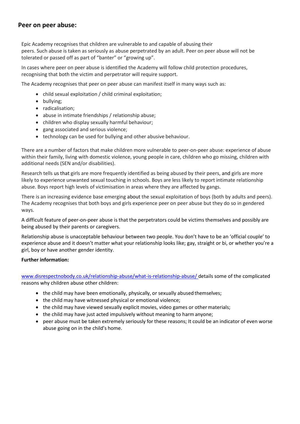### **Peer on peer abuse:**

Epic Academy recognises that children are vulnerable to and capable of abusing their peers. Such abuse is taken as seriously as abuse perpetrated by an adult. Peer on peer abuse will not be tolerated or passed off as part of "banter" or "growing up".

In cases where peer on peer abuse is identified the Academy will follow child protection procedures, recognising that both the victim and perpetrator will require support.

The Academy recognises that peer on peer abuse can manifest itself in many ways such as:

- child sexual exploitation / child criminal exploitation;
- bullying;
- radicalisation;
- abuse in intimate friendships / relationship abuse;
- children who display sexually harmful behaviour;
- gang associated and serious violence;
- technology can be used for bullying and other abusive behaviour.

There are a number of factors that make children more vulnerable to peer-on-peer abuse: experience of abuse within their family, living with domestic violence, young people in care, children who go missing, children with additional needs (SEN and/or disabilities).

Research tells us that girls are more frequently identified as being abused by their peers, and girls are more likely to experience unwanted sexual touching in schools. Boys are less likely to report intimate relationship abuse. Boys report high levels of victimisation in areas where they are affected by gangs.

There is an increasing evidence base emerging about the sexual exploitation of boys (both by adults and peers). The Academy recognises that both boys and girls experience peer on peer abuse but they do so in gendered ways.

A difficult feature of peer-on-peer abuse is that the perpetrators could be victims themselves and possibly are being abused by their parents or caregivers.

Relationship abuse is unacceptable behaviour between two people. You don't have to be an 'official couple' to experience abuse and it doesn't matter what your relationship looks like; gay, straight or bi, or whether you're a girl, boy or have another gender identity.

#### **Further information:**

[www.disrespectnobody.co.uk/relationship-abuse/what-is-relationship-abuse/](http://www.disrespectnobody.co.uk/relationship-abuse/what-is-relationship-abuse/) details some of the complicated reasons why children abuse other children:

- the child may have been emotionally, physically, or sexually abused themselves;
- the child may have witnessed physical or emotional violence;
- the child may have viewed sexually explicit movies, video games or othermaterials;
- the child may have just acted impulsively without meaning to harm anyone;
- peer abuse must be taken extremely seriously for these reasons; It could be an indicator of even worse abuse going on in the child's home.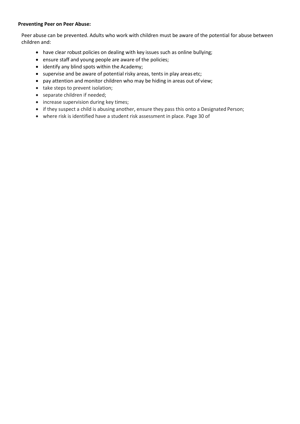#### **Preventing Peer on Peer Abuse:**

Peer abuse can be prevented. Adults who work with children must be aware of the potential for abuse between children and:

- have clear robust policies on dealing with key issues such as online bullying;
- ensure staff and young people are aware of the policies;
- identify any blind spots within the Academy;
- supervise and be aware of potential risky areas, tents in play areas etc;
- pay attention and monitor children who may be hiding in areas out of view;
- take steps to prevent isolation;
- separate children if needed;
- increase supervision during key times;
- if they suspect a child is abusing another, ensure they pass this onto a Designated Person;
- where risk is identified have a student risk assessment in place. Page 30 of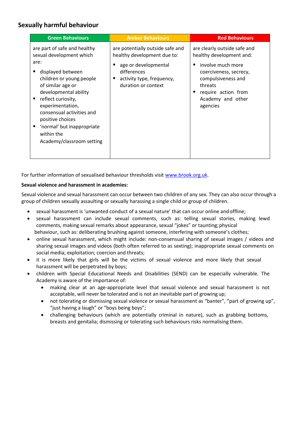# **Sexually harmful behaviour**

| <b>Green Behaviours</b>                                                                                                                                                                                                                                                           | <b>Amber Behaviours</b>                                                                      | <b>Red Behaviours</b>                                                                                                                |
|-----------------------------------------------------------------------------------------------------------------------------------------------------------------------------------------------------------------------------------------------------------------------------------|----------------------------------------------------------------------------------------------|--------------------------------------------------------------------------------------------------------------------------------------|
| are part of safe and healthy<br>sexual development which                                                                                                                                                                                                                          | are potentially outside safe and<br>healthy development due to:                              | are clearly outside safe and<br>healthy development and:                                                                             |
| are:<br>displayed between<br>п<br>children or young people<br>of similar age or<br>developmental ability<br>reflect curiosity,<br>п<br>experimentation,<br>consensual activities and<br>positive choices<br>'normal' but inappropriate<br>within the<br>Academy/classroom setting | age or developmental<br>differences<br>activity type, frequency,<br>п<br>duration or context | involve much more<br>coerciveness, secrecy,<br>compulsiveness and<br>threats<br>require action from<br>Academy and other<br>agencies |

For further information of sexualised behaviour thresholds visit [www.brook.org.uk.](http://www.brook.org.uk/)

#### **Sexual violence and harassment in academies:**

Sexual violence and sexual harassment can occur between two children of any sex. They can also occur through a group of children sexually assaulting or sexually harassing a single child or group of children.

- sexual harassment is 'unwanted conduct of a sexual nature' that can occur online and offline;
- sexual harassment can include sexual comments, such as: telling sexual stories, making lewd comments, making sexual remarks about appearance, sexual "jokes" or taunting;physical behaviour, such as: deliberating brushing against someone, interfering with someone's clothes;
- online sexual harassment, which might include: non-consensual sharing of sexual images / videos and sharing sexual images and videos (both often referred to as sexting); inappropriate sexual comments on social media; exploitation; coercion and threats;
- it is more likely that girls will be the victims of sexual violence and more likely that sexual harassment will be perpetrated by boys;
- children with Special Educational Needs and Disabilities (SEND) can be especially vulnerable. The Academy is aware of the importance of:
	- making clear at an age-appropriate level that sexual violence and sexual harassment is not acceptable, will never be tolerated and is not an inevitable part of growing up;
	- not tolerating or dismissing sexual violence or sexual harassment as "banter", "part of growing up", "just having a laugh" or "boys being boys";
	- challenging behaviours (which are potentially criminal in nature), such as grabbing bottoms, breasts and genitalia; dismissing or tolerating such behaviours risks normalising them.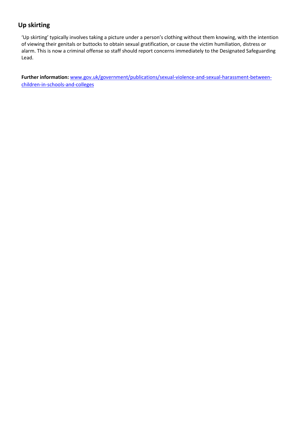# **Up skirting**

'Up skirting' typically involves taking a picture under a person's clothing without them knowing, with the intention of viewing their genitals or buttocks to obtain sexual gratification, or cause the victim humiliation, distress or alarm. This is now a criminal offense so staff should report concerns immediately to the Designated Safeguarding Lead.

**Further information:** [www.gov.uk/government/publications/sexual-violence-and-sexual-harassment-between](http://www.gov.uk/government/publications/sexual-violence-and-sexual-harassment-between-children-in-schools-and-colleges)[children-in-schools-and-colleges](http://www.gov.uk/government/publications/sexual-violence-and-sexual-harassment-between-children-in-schools-and-colleges)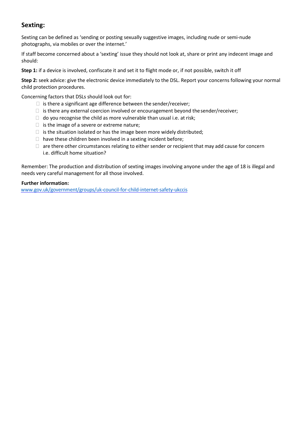# **Sexting:**

Sexting can be defined as 'sending or posting sexually suggestive images, including nude or semi-nude photographs, via mobiles or over the internet.'

If staff become concerned about a 'sexting' issue they should not look at, share or print any indecent image and should:

**Step 1:** if a device is involved, confiscate it and set it to flight mode or, if not possible, switch it off

**Step 2:** seek advice: give the electronic device immediately to the DSL. Report your concerns following your normal child protection procedures.

Concerning factors that DSLs should look out for:

- $\Box$  is there a significant age difference between the sender/receiver;
- $\Box$  is there any external coercion involved or encouragement beyond the sender/receiver;
- $\Box$  do you recognise the child as more vulnerable than usual i.e. at risk;
- $\Box$  is the image of a severe or extreme nature;
- $\Box$  is the situation isolated or has the image been more widely distributed;
- $\Box$  have these children been involved in a sexting incident before;
- $\Box$  are there other circumstances relating to either sender or recipient that may add cause for concern i.e. difficult home situation?

Remember: The production and distribution of sexting images involving anyone under the age of 18 is illegal and needs very careful management for all those involved.

#### **Further information:**

www.gov.uk/government/groups/uk-council-for-child-internet-safety-ukccis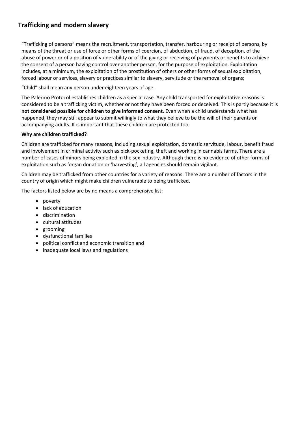### **Trafficking and modern slavery**

"Trafficking of persons" means the recruitment, transportation, transfer, harbouring or receipt of persons, by means of the threat or use of force or other forms of coercion, of abduction, of fraud, of deception, of the abuse of power or of a position of vulnerability or of the giving or receiving of payments or benefits to achieve the consent of a person having control over another person, for the purpose of exploitation. Exploitation includes, at a minimum, the exploitation of the prostitution of others or other forms of sexual exploitation, forced labour or services, slavery or practices similar to slavery, servitude or the removal of organs;

"Child" shall mean any person under eighteen years of age.

The Palermo Protocol establishes children as a special case. Any child transported for exploitative reasons is considered to be a trafficking victim, whether or not they have been forced or deceived. This is partly because it is **not considered possible for children to give informed consent**. Even when a child understands what has happened, they may still appear to submit willingly to what they believe to be the will of their parents or accompanying adults. It is important that these children are protected too.

#### **Why are children trafficked?**

Children are trafficked for many reasons, including sexual exploitation, domestic servitude, labour, benefit fraud and involvement in criminal activity such as pick-pocketing, theft and working in cannabis farms. There are a number of cases of minors being exploited in the sex industry. Although there is no evidence of other forms of exploitation such as 'organ donation or 'harvesting', all agencies should remain vigilant.

Children may be trafficked from other countries for a variety of reasons. There are a number of factors in the country of origin which might make children vulnerable to being trafficked.

The factors listed below are by no means a comprehensive list:

- poverty
- lack of education
- discrimination
- cultural attitudes
- grooming
- dysfunctional families
- political conflict and economic transition and
- inadequate local laws and regulations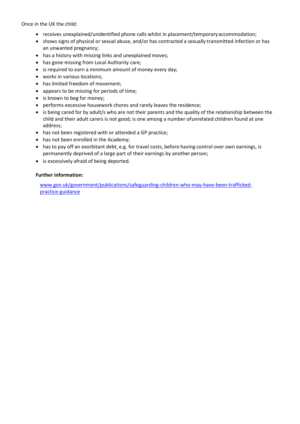Once in the UK the child:

- receives unexplained/unidentified phone calls whilst in placement/temporary accommodation;
- shows signs of physical or sexual abuse, and/or has contracted a sexually transmitted infection or has an unwanted pregnancy;
- has a history with missing links and unexplained moves;
- has gone missing from Local Authority care;
- is required to earn a minimum amount of money every day;
- works in various locations;
- has limited freedom of movement;
- appears to be missing for periods of time;
- is known to beg for money;
- performs excessive housework chores and rarely leaves the residence;
- is being cared for by adult/s who are not their parents and the quality of the relationship between the child and their adult carers is not good; is one among a number ofunrelated children found at one address;
- has not been registered with or attended a GP practice;
- has not been enrolled in the Academy;
- has to pay off an exorbitant debt, e.g. for travel costs, before having control over own earnings, is permanently deprived of a large part of their earnings by another person;
- is excessively afraid of being deported.

#### **Further information:**

[www.gov.uk/government/publications/safeguarding-children-who-may-have-been-trafficked](http://www.gov.uk/government/publications/safeguarding-children-who-may-have-been-trafficked-practice-guidance)[practice-guidance](http://www.gov.uk/government/publications/safeguarding-children-who-may-have-been-trafficked-practice-guidance)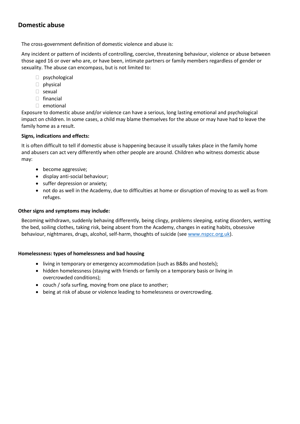### **Domestic abuse**

The cross-government definition of domestic violence and abuse is:

Any incident or pattern of incidents of controlling, coercive, threatening behaviour, violence or abuse between those aged 16 or over who are, or have been, intimate partners or family members regardless of gender or sexuality. The abuse can encompass, but is not limited to:

- $\Box$  psychological
- physical
- sexual
- $\Box$  financial
- $\Box$  emotional

Exposure to domestic abuse and/or violence can have a serious, long lasting emotional and psychological impact on children. In some cases, a child may blame themselves for the abuse or may have had to leave the family home as a result.

#### **Signs, indications and effects:**

It is often difficult to tell if domestic abuse is happening because it usually takes place in the family home and abusers can act very differently when other people are around. Children who witness domestic abuse may:

- become aggressive;
- display anti-social behaviour;
- suffer depression or anxiety;
- not do as well in the Academy, due to difficulties at home or disruption of moving to as well as from refuges.

#### **Other signs and symptoms may include:**

Becoming withdrawn, suddenly behaving differently, being clingy, problems sleeping, eating disorders, wetting the bed, soiling clothes, taking risk, being absent from the Academy, changes in eating habits, obsessive behaviour, nightmares, drugs, alcohol, self-harm, thoughts of suicide (see [www.nspcc.org.uk\)](http://www.nspcc.org.uk/).

#### **Homelessness: types of homelessness and bad housing**

- living in temporary or emergency accommodation (such as B&Bs and hostels);
- hidden homelessness (staying with friends or family on a temporary basis or living in overcrowded conditions);
- couch / sofa surfing, moving from one place to another;
- being at risk of abuse or violence leading to homelessness or overcrowding.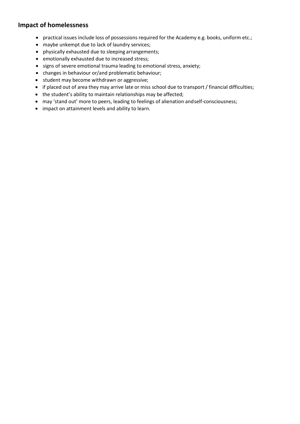### **Impact of homelessness**

- practical issues include loss of possessions required for the Academy e.g. books, uniform etc.;
- maybe unkempt due to lack of laundry services;
- physically exhausted due to sleeping arrangements;
- emotionally exhausted due to increased stress;
- signs of severe emotional trauma leading to emotional stress, anxiety;
- changes in behaviour or/and problematic behaviour;
- student may become withdrawn or aggressive;
- if placed out of area they may arrive late or miss school due to transport / financial difficulties;
- the student's ability to maintain relationships may be affected;
- may 'stand out' more to peers, leading to feelings of alienation andself-consciousness;
- impact on attainment levels and ability to learn.